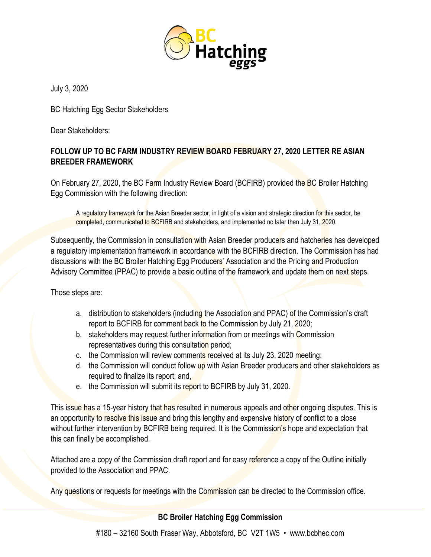

July 3, 2020

BC Hatching Egg Sector Stakeholders

Dear Stakeholders:

## **FOLLOW UP TO BC FARM INDUSTRY REVIEW BOARD FEBRUARY 27, 2020 LETTER RE ASIAN BREEDER FRAMEWORK**

On February 27, 2020, the BC Farm Industry Review Board (BCFIRB) provided the BC Broiler Hatching Egg Commission with the following direction:

A regulatory framework for the Asian Breeder sector, in light of a vision and strategic direction for this sector, be completed, communicated to BCFIRB and stakeholders, and implemented no later than July 31, 2020.

Subsequently, the Commission in consultation with Asian Breeder producers and hatcheries has developed a regulatory implementation framework in accordance with the BCFIRB direction. The Commission has had discussions with the BC Broiler Hatching Egg Producers' Association and the Pricing and Production Advisory Committee (PPAC) to provide a basic outline of the framework and update them on next steps.

Those steps are:

- a. distribution to stakeholders (including the Association and PPAC) of the Commission's draft report to BCFIRB for comment back to the Commission by July 21, 2020;
- b. stakeholders may request further information from or meetings with Commission representatives during this consultation period;
- c. the Commission will review comments received at its July 23, 2020 meeting;
- d. the Commission will conduct follow up with Asian Breeder producers and other stakeholders as required to finalize its report; and,
- e. the Commission will submit its report to BCFIRB by July 31, 2020.

This issue has a 15-year history that has resulted in numerous appeals and other ongoing disputes. This is an opportunity to resolve this issue and bring this lengthy and expensive history of conflict to a close without further intervention by BCFIRB being required. It is the Commission's hope and expectation that this can finally be accomplished.

Attached are a copy of the Commission draft report and for easy reference a copy of the Outline initially provided to the Association and PPAC.

Any questions or requests for meetings with the Commission can be directed to the Commission office.

## **BC Broiler Hatching Egg Commission**